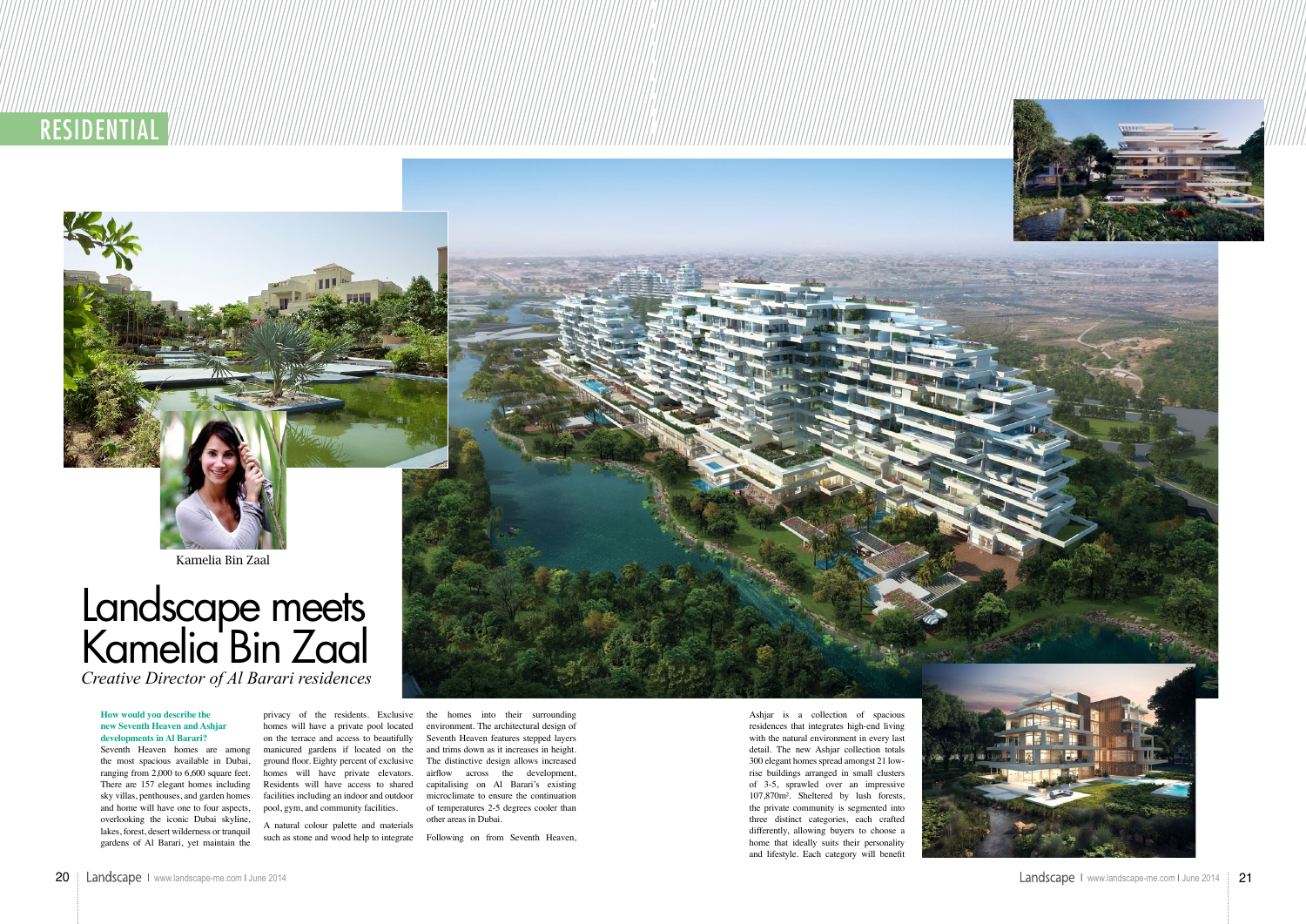**RESIDENTIAL** 



Kamelia Bin Zaal

#### **How would you describe the new Seventh Heaven and Ashjar developments in Al Barari?**

Seventh Heaven homes are among the most spacious available in Dubai, ranging from 2,000 to 6,600 square feet. There are 157 elegant homes including and home will have one to four aspects, pool, gym, and community facilities. overlooking the iconic Dubai skyline, lakes, forest, desert wilderness or tranquil gardens of Al Barari, yet maintain the

privacy of the residents. Exclusive homes will have a private pool located on the terrace and access to beautifully manicured gardens if located on the Residents will have access to shared

sky villas, penthouses, and garden homes facilities including an indoor and outdoor microclimate to ensure the continuation ground floor. Eighty percent of exclusive The distinctive design allows increased homes will have private elevators. airflow across the development, the homes into their surrounding environment. The architectural design of Seventh Heaven features stepped layers and trims down as it increases in height. capitalising on Al Barari's existing of temperatures 2-5 degrees cooler than other areas in Dubai.

A natural colour palette and materials such as stone and wood help to integrate

Following on from Seventh Heaven,

Ashjar is a collection of spacious residences that integrates high-end living with the natural environment in every last detail. The new Ashjar collection totals 300 elegant homes spread amongst 21 lowrise buildings arranged in small clusters of 3-5, sprawled over an impressive 107,870m². Sheltered by lush forests, the private community is segmented into three distinct categories, each crafted differently, allowing buyers to choose a home that ideally suits their personality and lifestyle. Each category will benefit



# Landscape meets Kamelia Bin Zaal *Creative Director of Al Barari residences*